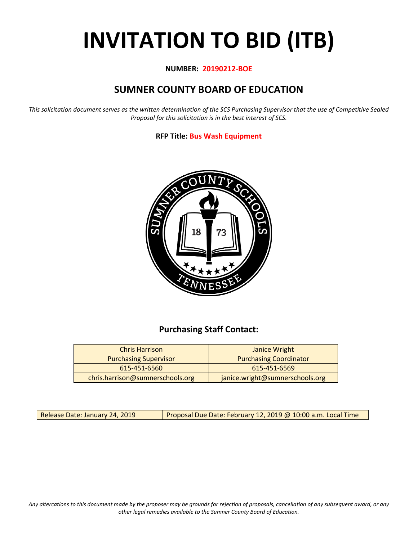# **INVITATION TO BID (ITB)**

## **NUMBER: 20190212-BOE**

# **SUMNER COUNTY BOARD OF EDUCATION**

*This solicitation document serves as the written determination of the SCS Purchasing Supervisor that the use of Competitive Sealed Proposal for this solicitation is in the best interest of SCS.*

## **RFP Title: Bus Wash Equipment**



# **Purchasing Staff Contact:**

| <b>Chris Harrison</b>            | Janice Wright                   |
|----------------------------------|---------------------------------|
| <b>Purchasing Supervisor</b>     | <b>Purchasing Coordinator</b>   |
| 615-451-6560                     | 615-451-6569                    |
| chris.harrison@sumnerschools.org | janice.wright@sumnerschools.org |

Release Date: January 24, 2019 **Proposal Due Date: February 12, 2019 @ 10:00 a.m. Local Time** 

*Any altercations to this document made by the proposer may be grounds for rejection of proposals, cancellation of any subsequent award, or any other legal remedies available to the Sumner County Board of Education.*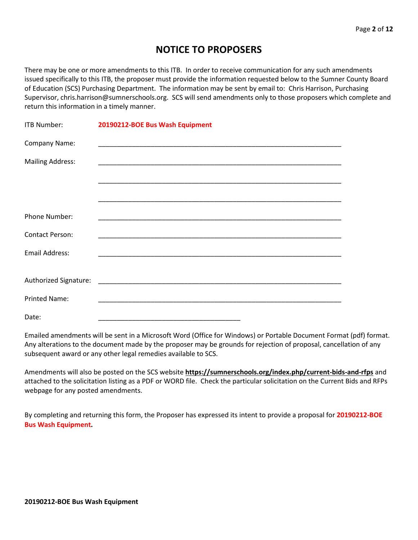# **NOTICE TO PROPOSERS**

There may be one or more amendments to this ITB. In order to receive communication for any such amendments issued specifically to this ITB, the proposer must provide the information requested below to the Sumner County Board of Education (SCS) Purchasing Department. The information may be sent by email to: Chris Harrison, Purchasing Supervisor, chris.harrison@sumnerschools.org. SCS will send amendments only to those proposers which complete and return this information in a timely manner.

| <b>ITB Number:</b>      | 20190212-BOE Bus Wash Equipment |
|-------------------------|---------------------------------|
| Company Name:           |                                 |
| <b>Mailing Address:</b> |                                 |
|                         |                                 |
|                         |                                 |
| Phone Number:           |                                 |
| <b>Contact Person:</b>  |                                 |
| <b>Email Address:</b>   |                                 |
|                         |                                 |
|                         |                                 |
| <b>Printed Name:</b>    |                                 |
| Date:                   |                                 |

Emailed amendments will be sent in a Microsoft Word (Office for Windows) or Portable Document Format (pdf) format. Any alterations to the document made by the proposer may be grounds for rejection of proposal, cancellation of any subsequent award or any other legal remedies available to SCS.

Amendments will also be posted on the SCS website **https://sumnerschools.org/index.php/current-bids-and-rfps** and attached to the solicitation listing as a PDF or WORD file. Check the particular solicitation on the Current Bids and RFPs webpage for any posted amendments.

By completing and returning this form, the Proposer has expressed its intent to provide a proposal for **20190212-BOE Bus Wash Equipment.**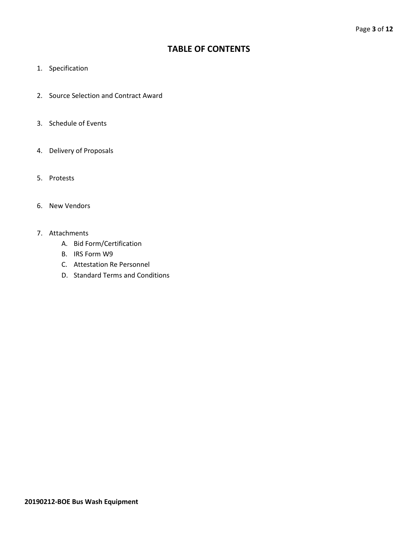# **TABLE OF CONTENTS**

- 1. Specification
- 2. Source Selection and Contract Award
- 3. Schedule of Events
- 4. Delivery of Proposals
- 5. Protests
- 6. New Vendors
- 7. Attachments
	- A. Bid Form/Certification
	- B. IRS Form W9
	- C. Attestation Re Personnel
	- D. Standard Terms and Conditions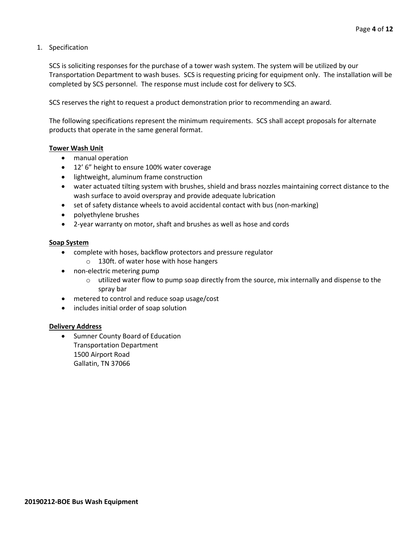1. Specification

SCS is soliciting responses for the purchase of a tower wash system. The system will be utilized by our Transportation Department to wash buses. SCS is requesting pricing for equipment only. The installation will be completed by SCS personnel. The response must include cost for delivery to SCS.

SCS reserves the right to request a product demonstration prior to recommending an award.

The following specifications represent the minimum requirements. SCS shall accept proposals for alternate products that operate in the same general format.

#### **Tower Wash Unit**

- manual operation
- 12' 6" height to ensure 100% water coverage
- lightweight, aluminum frame construction
- water actuated tilting system with brushes, shield and brass nozzles maintaining correct distance to the wash surface to avoid overspray and provide adequate lubrication
- set of safety distance wheels to avoid accidental contact with bus (non-marking)
- polyethylene brushes
- 2-year warranty on motor, shaft and brushes as well as hose and cords

#### **Soap System**

- complete with hoses, backflow protectors and pressure regulator
	- o 130ft. of water hose with hose hangers
- non-electric metering pump
	- $\circ$  utilized water flow to pump soap directly from the source, mix internally and dispense to the spray bar
- metered to control and reduce soap usage/cost
- includes initial order of soap solution

#### **Delivery Address**

• Sumner County Board of Education Transportation Department 1500 Airport Road Gallatin, TN 37066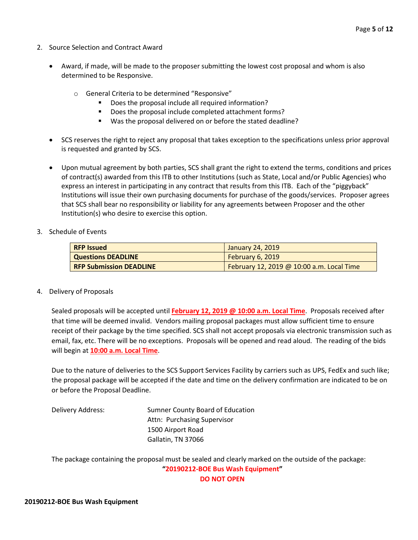- 2. Source Selection and Contract Award
	- Award, if made, will be made to the proposer submitting the lowest cost proposal and whom is also determined to be Responsive.
		- o General Criteria to be determined "Responsive"
			- Does the proposal include all required information?
			- Does the proposal include completed attachment forms?
			- Was the proposal delivered on or before the stated deadline?
	- SCS reserves the right to reject any proposal that takes exception to the specifications unless prior approval is requested and granted by SCS.
	- Upon mutual agreement by both parties, SCS shall grant the right to extend the terms, conditions and prices of contract(s) awarded from this ITB to other Institutions (such as State, Local and/or Public Agencies) who express an interest in participating in any contract that results from this ITB. Each of the "piggyback" Institutions will issue their own purchasing documents for purchase of the goods/services. Proposer agrees that SCS shall bear no responsibility or liability for any agreements between Proposer and the other Institution(s) who desire to exercise this option.
- 3. Schedule of Events

| <b>RFP Issued</b>              | January 24, 2019                          |  |  |  |  |  |  |
|--------------------------------|-------------------------------------------|--|--|--|--|--|--|
| <b>Questions DEADLINE</b>      | February 6, 2019                          |  |  |  |  |  |  |
| <b>RFP Submission DEADLINE</b> | February 12, 2019 @ 10:00 a.m. Local Time |  |  |  |  |  |  |

#### 4. Delivery of Proposals

Sealed proposals will be accepted until **February 12, 2019 @ 10:00 a.m. Local Time**. Proposals received after that time will be deemed invalid. Vendors mailing proposal packages must allow sufficient time to ensure receipt of their package by the time specified. SCS shall not accept proposals via electronic transmission such as email, fax, etc. There will be no exceptions. Proposals will be opened and read aloud. The reading of the bids will begin at **10:00 a.m. Local Time**.

Due to the nature of deliveries to the SCS Support Services Facility by carriers such as UPS, FedEx and such like; the proposal package will be accepted if the date and time on the delivery confirmation are indicated to be on or before the Proposal Deadline.

Delivery Address: Sumner County Board of Education Attn: Purchasing Supervisor 1500 Airport Road Gallatin, TN 37066

The package containing the proposal must be sealed and clearly marked on the outside of the package: **"20190212-BOE Bus Wash Equipment"**

**DO NOT OPEN**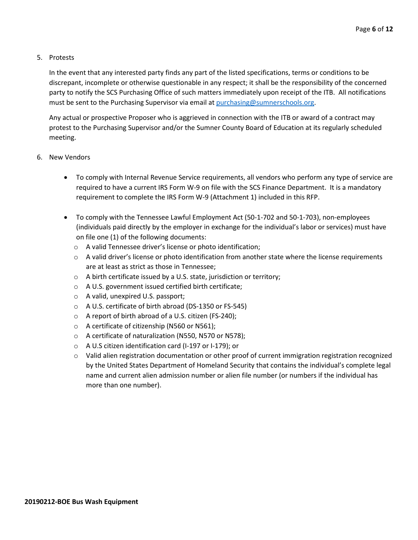## 5. Protests

In the event that any interested party finds any part of the listed specifications, terms or conditions to be discrepant, incomplete or otherwise questionable in any respect; it shall be the responsibility of the concerned party to notify the SCS Purchasing Office of such matters immediately upon receipt of the ITB. All notifications must be sent to the Purchasing Supervisor via email at [purchasing@sumnerschools.org.](mailto:purchasing@sumnerschools.org)

Any actual or prospective Proposer who is aggrieved in connection with the ITB or award of a contract may protest to the Purchasing Supervisor and/or the Sumner County Board of Education at its regularly scheduled meeting.

- 6. New Vendors
	- To comply with Internal Revenue Service requirements, all vendors who perform any type of service are required to have a current IRS Form W-9 on file with the SCS Finance Department. It is a mandatory requirement to complete the IRS Form W-9 (Attachment 1) included in this RFP.
	- To comply with the Tennessee Lawful Employment Act (50-1-702 and 50-1-703), non-employees (individuals paid directly by the employer in exchange for the individual's labor or services) must have on file one (1) of the following documents:
		- o A valid Tennessee driver's license or photo identification;
		- $\circ$  A valid driver's license or photo identification from another state where the license requirements are at least as strict as those in Tennessee;
		- o A birth certificate issued by a U.S. state, jurisdiction or territory;
		- o A U.S. government issued certified birth certificate;
		- o A valid, unexpired U.S. passport;
		- o A U.S. certificate of birth abroad (DS-1350 or FS-545)
		- o A report of birth abroad of a U.S. citizen (FS-240);
		- o A certificate of citizenship (N560 or N561);
		- o A certificate of naturalization (N550, N570 or N578);
		- o A U.S citizen identification card (I-197 or I-179); or
		- o Valid alien registration documentation or other proof of current immigration registration recognized by the United States Department of Homeland Security that contains the individual's complete legal name and current alien admission number or alien file number (or numbers if the individual has more than one number).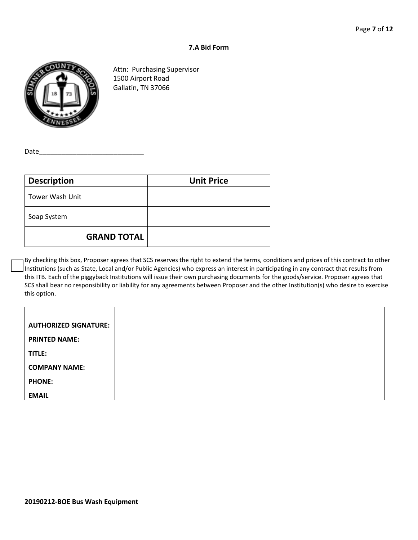#### **7.A Bid Form**



Attn: Purchasing Supervisor 1500 Airport Road Gallatin, TN 37066

Date

| <b>Description</b> | <b>Unit Price</b> |
|--------------------|-------------------|
| Tower Wash Unit    |                   |
| Soap System        |                   |
| <b>GRAND TOTAL</b> |                   |

By checking this box, Proposer agrees that SCS reserves the right to extend the terms, conditions and prices of this contract to other Institutions (such as State, Local and/or Public Agencies) who express an interest in participating in any contract that results from this ITB. Each of the piggyback Institutions will issue their own purchasing documents for the goods/service. Proposer agrees that SCS shall bear no responsibility or liability for any agreements between Proposer and the other Institution(s) who desire to exercise this option.

| <b>AUTHORIZED SIGNATURE:</b> |  |
|------------------------------|--|
| <b>PRINTED NAME:</b>         |  |
| TITLE:                       |  |
| <b>COMPANY NAME:</b>         |  |
| <b>PHONE:</b>                |  |
| <b>EMAIL</b>                 |  |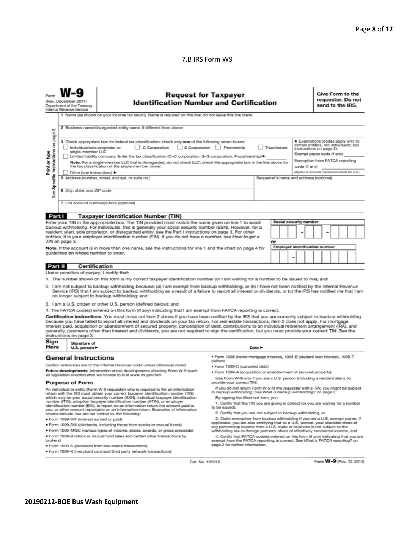## 7.B IRS Form W9

|                                                                                                                                                                                                                                                                                                                                                                                                                                                                                                                                                                                                                                                                                                    | <b>Request for Taxpayer</b><br><b>Identification Number and Certification</b><br>(Rev. December 2014)<br>Department of the Treasury<br>Internal Revenue Service          |                                                                                                                                                                                                                      |                                                                                                                                                               |                                         |    |                                                                               |                                       |               |  | Give Form to the<br>requester. Do not<br>send to the IRS. |  |                                                   |  |  |  |
|----------------------------------------------------------------------------------------------------------------------------------------------------------------------------------------------------------------------------------------------------------------------------------------------------------------------------------------------------------------------------------------------------------------------------------------------------------------------------------------------------------------------------------------------------------------------------------------------------------------------------------------------------------------------------------------------------|--------------------------------------------------------------------------------------------------------------------------------------------------------------------------|----------------------------------------------------------------------------------------------------------------------------------------------------------------------------------------------------------------------|---------------------------------------------------------------------------------------------------------------------------------------------------------------|-----------------------------------------|----|-------------------------------------------------------------------------------|---------------------------------------|---------------|--|-----------------------------------------------------------|--|---------------------------------------------------|--|--|--|
|                                                                                                                                                                                                                                                                                                                                                                                                                                                                                                                                                                                                                                                                                                    |                                                                                                                                                                          | 1 Name (as shown on your income tax return). Name is required on this line; do not leave this line blank.                                                                                                            |                                                                                                                                                               |                                         |    |                                                                               |                                       |               |  |                                                           |  |                                                   |  |  |  |
| οû                                                                                                                                                                                                                                                                                                                                                                                                                                                                                                                                                                                                                                                                                                 |                                                                                                                                                                          | 2 Business name/disregarded entity name, if different from above                                                                                                                                                     |                                                                                                                                                               |                                         |    |                                                                               |                                       |               |  |                                                           |  |                                                   |  |  |  |
| page<br>4 Exemptions (codes apply only to<br>3 Check appropriate box for federal tax classification; check only one of the following seven boxes:<br>Specific Instructions on<br>certain entities, not individuals; see<br>S Corporation<br>Individual/sole proprietor or<br>C Corporation<br>Partnership<br>Trust/estate<br>instructions on page 3):<br>Print or type<br>single-member LLC<br>Exempt payee code (if any)<br>Limited liability company. Enter the tax classification (C=C corporation, S=S corporation, P=partnership) ▶<br>Exemption from FATCA reporting<br>Note. For a single-member LLC that is disregarded, do not check LLC; check the appropriate box in the line above for |                                                                                                                                                                          |                                                                                                                                                                                                                      |                                                                                                                                                               |                                         |    |                                                                               |                                       |               |  |                                                           |  |                                                   |  |  |  |
|                                                                                                                                                                                                                                                                                                                                                                                                                                                                                                                                                                                                                                                                                                    | Other (see instructions)                                                                                                                                                 | the tax classification of the single-member owner.                                                                                                                                                                   |                                                                                                                                                               |                                         |    |                                                                               |                                       | code (if any) |  |                                                           |  | (Applies to accounts maintained outside the U.S.) |  |  |  |
|                                                                                                                                                                                                                                                                                                                                                                                                                                                                                                                                                                                                                                                                                                    |                                                                                                                                                                          | 5 Address (number, street, and apt. or suite no.)                                                                                                                                                                    |                                                                                                                                                               | Requester's name and address (optional) |    |                                                                               |                                       |               |  |                                                           |  |                                                   |  |  |  |
|                                                                                                                                                                                                                                                                                                                                                                                                                                                                                                                                                                                                                                                                                                    |                                                                                                                                                                          |                                                                                                                                                                                                                      |                                                                                                                                                               |                                         |    |                                                                               |                                       |               |  |                                                           |  |                                                   |  |  |  |
| 6 City, state, and ZIP code<br>See                                                                                                                                                                                                                                                                                                                                                                                                                                                                                                                                                                                                                                                                 |                                                                                                                                                                          |                                                                                                                                                                                                                      |                                                                                                                                                               |                                         |    |                                                                               |                                       |               |  |                                                           |  |                                                   |  |  |  |
|                                                                                                                                                                                                                                                                                                                                                                                                                                                                                                                                                                                                                                                                                                    |                                                                                                                                                                          | 7 List account number(s) here (optional)                                                                                                                                                                             |                                                                                                                                                               |                                         |    |                                                                               |                                       |               |  |                                                           |  |                                                   |  |  |  |
|                                                                                                                                                                                                                                                                                                                                                                                                                                                                                                                                                                                                                                                                                                    |                                                                                                                                                                          |                                                                                                                                                                                                                      |                                                                                                                                                               |                                         |    |                                                                               |                                       |               |  |                                                           |  |                                                   |  |  |  |
| Part I                                                                                                                                                                                                                                                                                                                                                                                                                                                                                                                                                                                                                                                                                             |                                                                                                                                                                          | <b>Taxpayer Identification Number (TIN)</b><br>Enter your TIN in the appropriate box. The TIN provided must match the name given on line 1 to avoid                                                                  |                                                                                                                                                               |                                         |    |                                                                               | Social security number                |               |  |                                                           |  |                                                   |  |  |  |
|                                                                                                                                                                                                                                                                                                                                                                                                                                                                                                                                                                                                                                                                                                    |                                                                                                                                                                          | backup withholding. For individuals, this is generally your social security number (SSN). However, for a                                                                                                             |                                                                                                                                                               |                                         |    |                                                                               |                                       |               |  |                                                           |  |                                                   |  |  |  |
|                                                                                                                                                                                                                                                                                                                                                                                                                                                                                                                                                                                                                                                                                                    |                                                                                                                                                                          | resident alien, sole proprietor, or disregarded entity, see the Part I instructions on page 3. For other<br>entities, it is your employer identification number (EIN). If you do not have a number, see How to get a |                                                                                                                                                               |                                         |    |                                                                               |                                       |               |  |                                                           |  |                                                   |  |  |  |
|                                                                                                                                                                                                                                                                                                                                                                                                                                                                                                                                                                                                                                                                                                    | TIN on page 3.                                                                                                                                                           |                                                                                                                                                                                                                      |                                                                                                                                                               |                                         | or |                                                                               |                                       |               |  |                                                           |  |                                                   |  |  |  |
|                                                                                                                                                                                                                                                                                                                                                                                                                                                                                                                                                                                                                                                                                                    |                                                                                                                                                                          | Note. If the account is in more than one name, see the instructions for line 1 and the chart on page 4 for                                                                                                           |                                                                                                                                                               |                                         |    |                                                                               | <b>Employer identification number</b> |               |  |                                                           |  |                                                   |  |  |  |
|                                                                                                                                                                                                                                                                                                                                                                                                                                                                                                                                                                                                                                                                                                    | quidelines on whose number to enter.                                                                                                                                     |                                                                                                                                                                                                                      |                                                                                                                                                               |                                         |    |                                                                               |                                       |               |  |                                                           |  |                                                   |  |  |  |
|                                                                                                                                                                                                                                                                                                                                                                                                                                                                                                                                                                                                                                                                                                    |                                                                                                                                                                          | Certification                                                                                                                                                                                                        |                                                                                                                                                               |                                         |    |                                                                               |                                       |               |  |                                                           |  |                                                   |  |  |  |
| <b>Part II</b>                                                                                                                                                                                                                                                                                                                                                                                                                                                                                                                                                                                                                                                                                     | Under penalties of perjury, I certify that:                                                                                                                              |                                                                                                                                                                                                                      |                                                                                                                                                               |                                         |    |                                                                               |                                       |               |  |                                                           |  |                                                   |  |  |  |
|                                                                                                                                                                                                                                                                                                                                                                                                                                                                                                                                                                                                                                                                                                    |                                                                                                                                                                          |                                                                                                                                                                                                                      |                                                                                                                                                               |                                         |    |                                                                               |                                       |               |  |                                                           |  |                                                   |  |  |  |
| 1. The number shown on this form is my correct taxpayer identification number (or I am waiting for a number to be issued to me); and<br>2. I am not subject to backup withholding because: (a) I am exempt from backup withholding, or (b) I have not been notified by the Internal Revenue<br>Service (IRS) that I am subject to backup withholding as a result of a failure to report all interest or dividends, or (c) the IRS has notified me that I am<br>no longer subject to backup withholding; and                                                                                                                                                                                        |                                                                                                                                                                          |                                                                                                                                                                                                                      |                                                                                                                                                               |                                         |    |                                                                               |                                       |               |  |                                                           |  |                                                   |  |  |  |
|                                                                                                                                                                                                                                                                                                                                                                                                                                                                                                                                                                                                                                                                                                    |                                                                                                                                                                          | 3. I am a U.S. citizen or other U.S. person (defined below); and                                                                                                                                                     |                                                                                                                                                               |                                         |    |                                                                               |                                       |               |  |                                                           |  |                                                   |  |  |  |
| 4. The FATCA code(s) entered on this form (if any) indicating that I am exempt from FATCA reporting is correct.                                                                                                                                                                                                                                                                                                                                                                                                                                                                                                                                                                                    |                                                                                                                                                                          |                                                                                                                                                                                                                      |                                                                                                                                                               |                                         |    |                                                                               |                                       |               |  |                                                           |  |                                                   |  |  |  |
| Certification instructions. You must cross out item 2 above if you have been notified by the IRS that you are currently subject to backup withholding<br>because you have failed to report all interest and dividends on your tax return. For real estate transactions, item 2 does not apply. For mortgage<br>interest paid, acquisition or abandonment of secured property, cancellation of debt, contributions to an individual retirement arrangement (IRA), and<br>generally, payments other than interest and dividends, you are not required to sign the certification, but you must provide your correct TIN. See the<br>instructions on page 3.                                           |                                                                                                                                                                          |                                                                                                                                                                                                                      |                                                                                                                                                               |                                         |    |                                                                               |                                       |               |  |                                                           |  |                                                   |  |  |  |
|                                                                                                                                                                                                                                                                                                                                                                                                                                                                                                                                                                                                                                                                                                    | Sign<br>Signature of<br>Here<br>Date $\blacktriangleright$<br>U.S. person ▶                                                                                              |                                                                                                                                                                                                                      |                                                                                                                                                               |                                         |    |                                                                               |                                       |               |  |                                                           |  |                                                   |  |  |  |
|                                                                                                                                                                                                                                                                                                                                                                                                                                                                                                                                                                                                                                                                                                    | <b>General Instructions</b>                                                                                                                                              |                                                                                                                                                                                                                      | · Form 1098 (home mortgage interest), 1098-E (student loan interest), 1098-T<br>(tuition)                                                                     |                                         |    |                                                                               |                                       |               |  |                                                           |  |                                                   |  |  |  |
|                                                                                                                                                                                                                                                                                                                                                                                                                                                                                                                                                                                                                                                                                                    |                                                                                                                                                                          | Section references are to the Internal Revenue Code unless otherwise noted.<br>Future developments. Information about developments affecting Form W-9 (such                                                          | · Form 1099-C (canceled debt)                                                                                                                                 |                                         |    |                                                                               |                                       |               |  |                                                           |  |                                                   |  |  |  |
|                                                                                                                                                                                                                                                                                                                                                                                                                                                                                                                                                                                                                                                                                                    | as legislation enacted after we release it) is at www.irs.gov/fw9.                                                                                                       | · Form 1099-A (acquisition or abandonment of secured property)                                                                                                                                                       |                                                                                                                                                               |                                         |    |                                                                               |                                       |               |  |                                                           |  |                                                   |  |  |  |
| Use Form W-9 only if you are a U.S. person (including a resident alien), to<br><b>Purpose of Form</b><br>provide your correct TIN.                                                                                                                                                                                                                                                                                                                                                                                                                                                                                                                                                                 |                                                                                                                                                                          |                                                                                                                                                                                                                      |                                                                                                                                                               |                                         |    |                                                                               |                                       |               |  |                                                           |  |                                                   |  |  |  |
|                                                                                                                                                                                                                                                                                                                                                                                                                                                                                                                                                                                                                                                                                                    | An individual or entity (Form W-9 requester) who is required to file an information<br>return with the IRS must obtain your correct taxpayer identification number (TIN) | If you do not return Form W-9 to the requester with a TIN, you might be subject<br>to backup withholding. See What is backup withholding? on page 2.                                                                 |                                                                                                                                                               |                                         |    |                                                                               |                                       |               |  |                                                           |  |                                                   |  |  |  |
| which may be your social security number (SSN), individual taxpayer identification<br>number (ITIN), adoption taxpayer identification number (ATIN), or employer<br>identification number (EIN), to report on an information return the amount paid to                                                                                                                                                                                                                                                                                                                                                                                                                                             |                                                                                                                                                                          |                                                                                                                                                                                                                      | By signing the filled-out form, you:<br>1. Certify that the TIN you are giving is correct (or you are waiting for a number<br>to be issued).                  |                                         |    |                                                                               |                                       |               |  |                                                           |  |                                                   |  |  |  |
| you, or other amount reportable on an information return. Examples of information<br>2. Certify that you are not subject to backup withholding, or<br>returns include, but are not limited to, the following:                                                                                                                                                                                                                                                                                                                                                                                                                                                                                      |                                                                                                                                                                          |                                                                                                                                                                                                                      |                                                                                                                                                               |                                         |    |                                                                               |                                       |               |  |                                                           |  |                                                   |  |  |  |
| · Form 1099-INT (interest earned or paid)<br>applicable, you are also certifying that as a U.S. person, your allocable share of                                                                                                                                                                                                                                                                                                                                                                                                                                                                                                                                                                    |                                                                                                                                                                          |                                                                                                                                                                                                                      |                                                                                                                                                               |                                         |    | 3. Claim exemption from backup withholding if you are a U.S. exempt payee. If |                                       |               |  |                                                           |  |                                                   |  |  |  |
|                                                                                                                                                                                                                                                                                                                                                                                                                                                                                                                                                                                                                                                                                                    |                                                                                                                                                                          | . Form 1099-DIV (dividends, including those from stocks or mutual funds)<br>. Form 1099-MISC (various types of income, prizes, awards, or gross proceeds)                                                            | any partnership income from a U.S. trade or business is not subject to the<br>withholding tax on foreign partners' share of effectively connected income, and |                                         |    |                                                                               |                                       |               |  |                                                           |  |                                                   |  |  |  |
|                                                                                                                                                                                                                                                                                                                                                                                                                                                                                                                                                                                                                                                                                                    |                                                                                                                                                                          | . Form 1099-B (stock or mutual fund sales and certain other transactions by                                                                                                                                          | 4. Certify that FATCA code(s) entered on this form (if any) indicating that you are                                                                           |                                         |    |                                                                               |                                       |               |  |                                                           |  |                                                   |  |  |  |
| brokers)<br>exempt from the FATCA reporting, is correct. See What is FATCA reporting? on<br>page 2 for further information.<br>· Form 1099-S (proceeds from real estate transactions)                                                                                                                                                                                                                                                                                                                                                                                                                                                                                                              |                                                                                                                                                                          |                                                                                                                                                                                                                      |                                                                                                                                                               |                                         |    |                                                                               |                                       |               |  |                                                           |  |                                                   |  |  |  |

· Form 1099-S (proceeds from real estate transactions)

· Form 1099-K (merchant card and third party network transactions)

Cat. No. 10231X

Form **W-9** (Rev. 12-2014)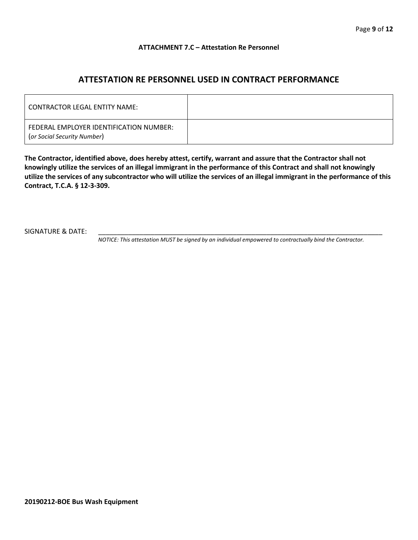### **ATTACHMENT 7.C – Attestation Re Personnel**

# **ATTESTATION RE PERSONNEL USED IN CONTRACT PERFORMANCE**

| CONTRACTOR LEGAL ENTITY NAME:                                          |  |
|------------------------------------------------------------------------|--|
| FEDERAL EMPLOYER IDENTIFICATION NUMBER:<br>(or Social Security Number) |  |

**The Contractor, identified above, does hereby attest, certify, warrant and assure that the Contractor shall not knowingly utilize the services of an illegal immigrant in the performance of this Contract and shall not knowingly utilize the services of any subcontractor who will utilize the services of an illegal immigrant in the performance of this Contract, T.C.A. § 12-3-309.**

SIGNATURE & DATE:

*NOTICE: This attestation MUST be signed by an individual empowered to contractually bind the Contractor.*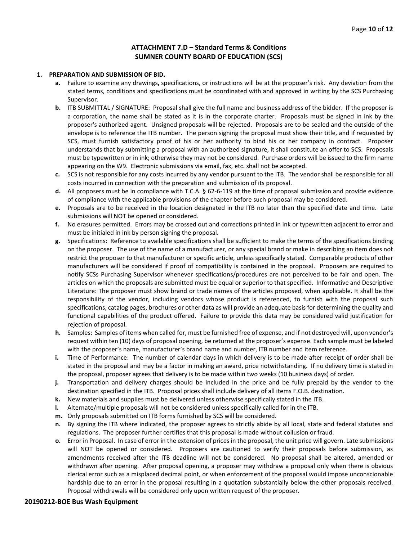## **ATTACHMENT 7.D – Standard Terms & Conditions SUMNER COUNTY BOARD OF EDUCATION (SCS)**

#### **1. PREPARATION AND SUBMISSION OF BID.**

- **a.** Failure to examine any drawings**,** specifications, or instructions will be at the proposer's risk. Any deviation from the stated terms, conditions and specifications must be coordinated with and approved in writing by the SCS Purchasing Supervisor.
- **b.** ITB SUBMITTAL / SIGNATURE: Proposal shall give the full name and business address of the bidder. If the proposer is a corporation, the name shall be stated as it is in the corporate charter. Proposals must be signed in ink by the proposer's authorized agent. Unsigned proposals will be rejected. Proposals are to be sealed and the outside of the envelope is to reference the ITB number. The person signing the proposal must show their title, and if requested by SCS, must furnish satisfactory proof of his or her authority to bind his or her company in contract. Proposer understands that by submitting a proposal with an authorized signature, it shall constitute an offer to SCS. Proposals must be typewritten or in ink; otherwise they may not be considered. Purchase orders will be issued to the firm name appearing on the W9. Electronic submissions via email, fax, etc. shall not be accepted.
- **c.** SCS is not responsible for any costs incurred by any vendor pursuant to the ITB. The vendor shall be responsible for all costs incurred in connection with the preparation and submission of its proposal.
- **d.** All proposers must be in compliance with T.C.A. § 62-6-119 at the time of proposal submission and provide evidence of compliance with the applicable provisions of the chapter before such proposal may be considered.
- **e.** Proposals are to be received in the location designated in the ITB no later than the specified date and time. Late submissions will NOT be opened or considered.
- **f.** No erasures permitted. Errors may be crossed out and corrections printed in ink or typewritten adjacent to error and must be initialed in ink by person signing the proposal.
- **g.** Specifications: Reference to available specifications shall be sufficient to make the terms of the specifications binding on the proposer. The use of the name of a manufacturer, or any special brand or make in describing an item does not restrict the proposer to that manufacturer or specific article, unless specifically stated. Comparable products of other manufacturers will be considered if proof of compatibility is contained in the proposal. Proposers are required to notify SCSs Purchasing Supervisor whenever specifications/procedures are not perceived to be fair and open. The articles on which the proposals are submitted must be equal or superior to that specified. Informative and Descriptive Literature: The proposer must show brand or trade names of the articles proposed, when applicable. It shall be the responsibility of the vendor, including vendors whose product is referenced, to furnish with the proposal such specifications, catalog pages, brochures or other data as will provide an adequate basis for determining the quality and functional capabilities of the product offered. Failure to provide this data may be considered valid justification for rejection of proposal.
- **h.** Samples: Samples of items when called for, must be furnished free of expense, and if not destroyed will, upon vendor's request within ten (10) days of proposal opening, be returned at the proposer's expense. Each sample must be labeled with the proposer's name, manufacturer's brand name and number, ITB number and item reference.
- **i.** Time of Performance: The number of calendar days in which delivery is to be made after receipt of order shall be stated in the proposal and may be a factor in making an award, price notwithstanding. If no delivery time is stated in the proposal, proposer agrees that delivery is to be made within two weeks (10 business days) of order.
- **j.** Transportation and delivery charges should be included in the price and be fully prepaid by the vendor to the destination specified in the ITB. Proposal prices shall include delivery of all items F.O.B. destination.
- **k.** New materials and supplies must be delivered unless otherwise specifically stated in the ITB.
- **l.** Alternate/multiple proposals will not be considered unless specifically called for in the ITB.
- **m.** Only proposals submitted on ITB forms furnished by SCS will be considered.
- **n.** By signing the ITB where indicated, the proposer agrees to strictly abide by all local, state and federal statutes and regulations. The proposer further certifies that this proposal is made without collusion or fraud.
- **o.** Error in Proposal. In case of error in the extension of prices in the proposal, the unit price will govern. Late submissions will NOT be opened or considered. Proposers are cautioned to verify their proposals before submission, as amendments received after the ITB deadline will not be considered. No proposal shall be altered, amended or withdrawn after opening. After proposal opening, a proposer may withdraw a proposal only when there is obvious clerical error such as a misplaced decimal point, or when enforcement of the proposal would impose unconscionable hardship due to an error in the proposal resulting in a quotation substantially below the other proposals received. Proposal withdrawals will be considered only upon written request of the proposer.

#### **20190212-BOE Bus Wash Equipment**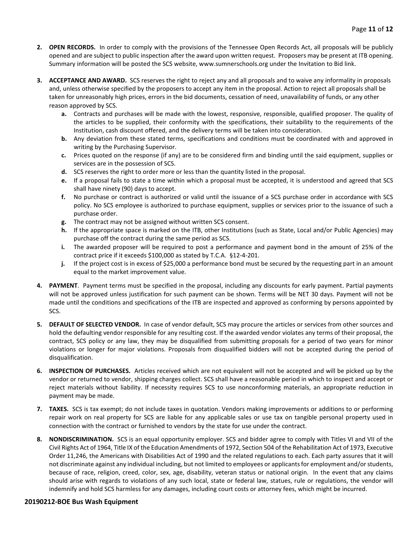- **2. OPEN RECORDS.** In order to comply with the provisions of the Tennessee Open Records Act, all proposals will be publicly opened and are subject to public inspection after the award upon written request. Proposers may be present at ITB opening. Summary information will be posted the SCS website, www.sumnerschools.org under the Invitation to Bid link.
- **3. ACCEPTANCE AND AWARD.** SCS reserves the right to reject any and all proposals and to waive any informality in proposals and, unless otherwise specified by the proposers to accept any item in the proposal. Action to reject all proposals shall be taken for unreasonably high prices, errors in the bid documents, cessation of need, unavailability of funds, or any other reason approved by SCS.
	- **a.** Contracts and purchases will be made with the lowest, responsive, responsible, qualified proposer. The quality of the articles to be supplied, their conformity with the specifications, their suitability to the requirements of the Institution, cash discount offered, and the delivery terms will be taken into consideration.
	- **b.** Any deviation from these stated terms, specifications and conditions must be coordinated with and approved in writing by the Purchasing Supervisor.
	- **c.** Prices quoted on the response (if any) are to be considered firm and binding until the said equipment, supplies or services are in the possession of SCS.
	- **d.** SCS reserves the right to order more or less than the quantity listed in the proposal.
	- **e.** If a proposal fails to state a time within which a proposal must be accepted, it is understood and agreed that SCS shall have ninety (90) days to accept.
	- **f.** No purchase or contract is authorized or valid until the issuance of a SCS purchase order in accordance with SCS policy. No SCS employee is authorized to purchase equipment, supplies or services prior to the issuance of such a purchase order.
	- **g.** The contract may not be assigned without written SCS consent.
	- **h.** If the appropriate space is marked on the ITB, other Institutions (such as State, Local and/or Public Agencies) may purchase off the contract during the same period as SCS.
	- **i.** The awarded proposer will be required to post a performance and payment bond in the amount of 25% of the contract price if it exceeds \$100,000 as stated by T.C.A. §12-4-201.
	- **j.** If the project cost is in excess of \$25,000 a performance bond must be secured by the requesting part in an amount equal to the market improvement value.
- **4. PAYMENT**. Payment terms must be specified in the proposal, including any discounts for early payment. Partial payments will not be approved unless justification for such payment can be shown. Terms will be NET 30 days. Payment will not be made until the conditions and specifications of the ITB are inspected and approved as conforming by persons appointed by SCS.
- **5. DEFAULT OF SELECTED VENDOR.** In case of vendor default, SCS may procure the articles or services from other sources and hold the defaulting vendor responsible for any resulting cost. If the awarded vendor violates any terms of their proposal, the contract, SCS policy or any law, they may be disqualified from submitting proposals for a period of two years for minor violations or longer for major violations. Proposals from disqualified bidders will not be accepted during the period of disqualification.
- **6. INSPECTION OF PURCHASES.** Articles received which are not equivalent will not be accepted and will be picked up by the vendor or returned to vendor, shipping charges collect. SCS shall have a reasonable period in which to inspect and accept or reject materials without liability. If necessity requires SCS to use nonconforming materials, an appropriate reduction in payment may be made.
- **7. TAXES.** SCS is tax exempt; do not include taxes in quotation. Vendors making improvements or additions to or performing repair work on real property for SCS are liable for any applicable sales or use tax on tangible personal property used in connection with the contract or furnished to vendors by the state for use under the contract.
- **8. NONDISCRIMINATION.** SCS is an equal opportunity employer. SCS and bidder agree to comply with Titles VI and VII of the Civil Rights Act of 1964, Title IX of the Education Amendments of 1972, Section 504 of the Rehabilitation Act of 1973, Executive Order 11,246, the Americans with Disabilities Act of 1990 and the related regulations to each. Each party assures that it will not discriminate against any individual including, but not limited to employees or applicants for employment and/or students, because of race, religion, creed, color, sex, age, disability, veteran status or national origin. In the event that any claims should arise with regards to violations of any such local, state or federal law, statues, rule or regulations, the vendor will indemnify and hold SCS harmless for any damages, including court costs or attorney fees, which might be incurred.

#### **20190212-BOE Bus Wash Equipment**